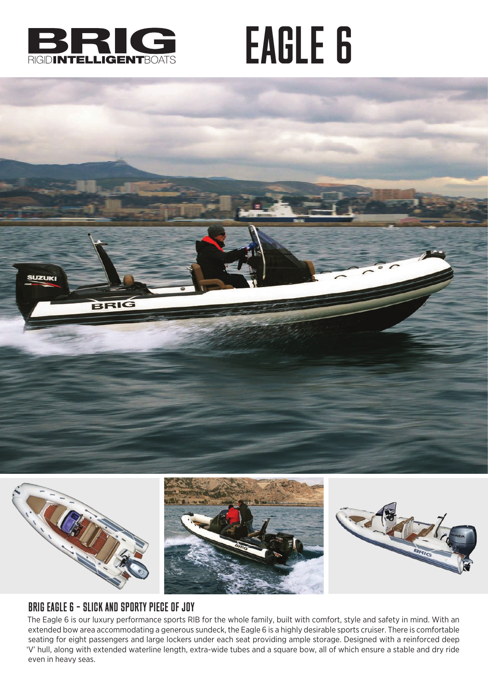







## BRIG EAGLE 6 – SLICK AND SPORTY PIECE OF JOY

The Eagle 6 is our luxury performance sports RIB for the whole family, built with comfort, style and safety in mind. With an extended bow area accommodating a generous sundeck, the Eagle 6 is a highly desirable sports cruiser. There is comfortable seating for eight passengers and large lockers under each seat providing ample storage. Designed with a reinforced deep 'V' hull, along with extended waterline length, extra-wide tubes and a square bow, all of which ensure a stable and dry ride even in heavy seas.